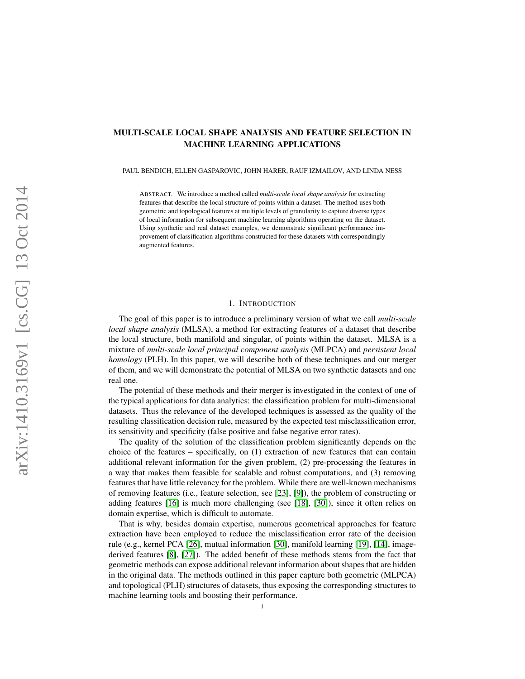## MULTI-SCALE LOCAL SHAPE ANALYSIS AND FEATURE SELECTION IN MACHINE LEARNING APPLICATIONS

PAUL BENDICH, ELLEN GASPAROVIC, JOHN HARER, RAUF IZMAILOV, AND LINDA NESS

ABSTRACT. We introduce a method called *multi-scale local shape analysis* for extracting features that describe the local structure of points within a dataset. The method uses both geometric and topological features at multiple levels of granularity to capture diverse types of local information for subsequent machine learning algorithms operating on the dataset. Using synthetic and real dataset examples, we demonstrate significant performance improvement of classification algorithms constructed for these datasets with correspondingly augmented features.

### 1. INTRODUCTION

The goal of this paper is to introduce a preliminary version of what we call *multi-scale local shape analysis* (MLSA), a method for extracting features of a dataset that describe the local structure, both manifold and singular, of points within the dataset. MLSA is a mixture of *multi-scale local principal component analysis* (MLPCA) and *persistent local homology* (PLH). In this paper, we will describe both of these techniques and our merger of them, and we will demonstrate the potential of MLSA on two synthetic datasets and one real one.

The potential of these methods and their merger is investigated in the context of one of the typical applications for data analytics: the classification problem for multi-dimensional datasets. Thus the relevance of the developed techniques is assessed as the quality of the resulting classification decision rule, measured by the expected test misclassification error, its sensitivity and specificity (false positive and false negative error rates).

The quality of the solution of the classification problem significantly depends on the choice of the features – specifically, on  $(1)$  extraction of new features that can contain additional relevant information for the given problem, (2) pre-processing the features in a way that makes them feasible for scalable and robust computations, and (3) removing features that have little relevancy for the problem. While there are well-known mechanisms of removing features (i.e., feature selection, see [\[23\]](#page-13-0), [\[9\]](#page-13-1)), the problem of constructing or adding features [\[16\]](#page-13-2) is much more challenging (see [\[18\]](#page-13-3), [\[30\]](#page-14-0)), since it often relies on domain expertise, which is difficult to automate.

That is why, besides domain expertise, numerous geometrical approaches for feature extraction have been employed to reduce the misclassification error rate of the decision rule (e.g., kernel PCA [\[26\]](#page-13-4), mutual information [\[30\]](#page-14-0), manifold learning [\[19\]](#page-13-5), [\[14\]](#page-13-6), imagederived features [\[8\]](#page-13-7), [\[27\]](#page-13-8)). The added benefit of these methods stems from the fact that geometric methods can expose additional relevant information about shapes that are hidden in the original data. The methods outlined in this paper capture both geometric (MLPCA) and topological (PLH) structures of datasets, thus exposing the corresponding structures to machine learning tools and boosting their performance.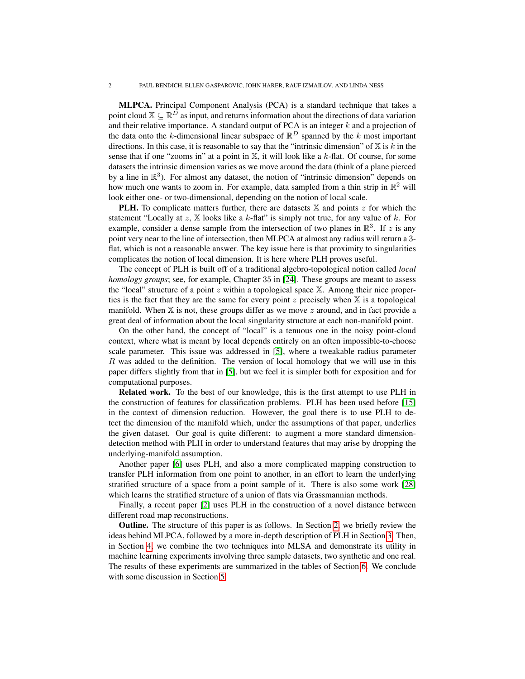MLPCA. Principal Component Analysis (PCA) is a standard technique that takes a point cloud  $\mathbb{X} \subseteq \mathbb{R}^D$  as input, and returns information about the directions of data variation and their relative importance. A standard output of PCA is an integer  $k$  and a projection of the data onto the k-dimensional linear subspace of  $\mathbb{R}^D$  spanned by the k most important directions. In this case, it is reasonable to say that the "intrinsic dimension" of  $X$  is k in the sense that if one "zooms in" at a point in  $X$ , it will look like a  $k$ -flat. Of course, for some datasets the intrinsic dimension varies as we move around the data (think of a plane pierced by a line in  $\mathbb{R}^3$ ). For almost any dataset, the notion of "intrinsic dimension" depends on how much one wants to zoom in. For example, data sampled from a thin strip in  $\mathbb{R}^2$  will look either one- or two-dimensional, depending on the notion of local scale.

**PLH.** To complicate matters further, there are datasets  $X$  and points z for which the statement "Locally at z,  $X$  looks like a k-flat" is simply not true, for any value of k. For example, consider a dense sample from the intersection of two planes in  $\mathbb{R}^3$ . If z is any point very near to the line of intersection, then MLPCA at almost any radius will return a 3 flat, which is not a reasonable answer. The key issue here is that proximity to singularities complicates the notion of local dimension. It is here where PLH proves useful.

The concept of PLH is built off of a traditional algebro-topological notion called *local homology groups*; see, for example, Chapter 35 in [\[24\]](#page-13-9). These groups are meant to assess the "local" structure of a point z within a topological space  $X$ . Among their nice properties is the fact that they are the same for every point z precisely when  $X$  is a topological manifold. When  $X$  is not, these groups differ as we move  $z$  around, and in fact provide a great deal of information about the local singularity structure at each non-manifold point.

On the other hand, the concept of "local" is a tenuous one in the noisy point-cloud context, where what is meant by local depends entirely on an often impossible-to-choose scale parameter. This issue was addressed in [\[5\]](#page-13-10), where a tweakable radius parameter R was added to the definition. The version of local homology that we will use in this paper differs slightly from that in [\[5\]](#page-13-10), but we feel it is simpler both for exposition and for computational purposes.

Related work. To the best of our knowledge, this is the first attempt to use PLH in the construction of features for classification problems. PLH has been used before [\[15\]](#page-13-11) in the context of dimension reduction. However, the goal there is to use PLH to detect the dimension of the manifold which, under the assumptions of that paper, underlies the given dataset. Our goal is quite different: to augment a more standard dimensiondetection method with PLH in order to understand features that may arise by dropping the underlying-manifold assumption.

Another paper [\[6\]](#page-13-12) uses PLH, and also a more complicated mapping construction to transfer PLH information from one point to another, in an effort to learn the underlying stratified structure of a space from a point sample of it. There is also some work [\[28\]](#page-13-13) which learns the stratified structure of a union of flats via Grassmannian methods.

Finally, a recent paper [\[2\]](#page-13-14) uses PLH in the construction of a novel distance between different road map reconstructions.

Outline. The structure of this paper is as follows. In Section [2,](#page-2-0) we briefly review the ideas behind MLPCA, followed by a more in-depth description of PLH in Section [3.](#page-2-1) Then, in Section [4,](#page-6-0) we combine the two techniques into MLSA and demonstrate its utility in machine learning experiments involving three sample datasets, two synthetic and one real. The results of these experiments are summarized in the tables of Section [6.](#page-10-0) We conclude with some discussion in Section [5.](#page-10-1)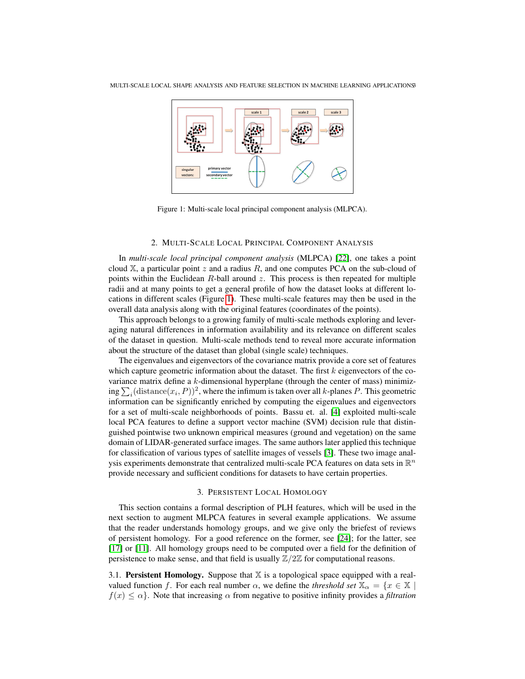

<span id="page-2-2"></span>Figure 1: Multi-scale local principal component analysis (MLPCA).

### 2. MULTI-SCALE LOCAL PRINCIPAL COMPONENT ANALYSIS

<span id="page-2-0"></span>In *multi-scale local principal component analysis* (MLPCA) [\[22\]](#page-13-15), one takes a point cloud  $X$ , a particular point  $z$  and a radius  $R$ , and one computes PCA on the sub-cloud of points within the Euclidean  $R$ -ball around  $z$ . This process is then repeated for multiple radii and at many points to get a general profile of how the dataset looks at different locations in different scales (Figure [1\)](#page-2-2). These multi-scale features may then be used in the overall data analysis along with the original features (coordinates of the points).

This approach belongs to a growing family of multi-scale methods exploring and leveraging natural differences in information availability and its relevance on different scales of the dataset in question. Multi-scale methods tend to reveal more accurate information about the structure of the dataset than global (single scale) techniques.

The eigenvalues and eigenvectors of the covariance matrix provide a core set of features which capture geometric information about the dataset. The first  $k$  eigenvectors of the covariance matrix define a  $k$ -dimensional hyperplane (through the center of mass) minimizing  $\sum_i$  (distance $(x_i, P)$ )<sup>2</sup>, where the infimum is taken over all k-planes P. This geometric information can be significantly enriched by computing the eigenvalues and eigenvectors for a set of multi-scale neighborhoods of points. Bassu et. al. [\[4\]](#page-13-16) exploited multi-scale local PCA features to define a support vector machine (SVM) decision rule that distinguished pointwise two unknown empirical measures (ground and vegetation) on the same domain of LIDAR-generated surface images. The same authors later applied this technique for classification of various types of satellite images of vessels [\[3\]](#page-13-17). These two image analysis experiments demonstrate that centralized multi-scale PCA features on data sets in  $\mathbb{R}^n$ provide necessary and sufficient conditions for datasets to have certain properties.

#### 3. PERSISTENT LOCAL HOMOLOGY

<span id="page-2-1"></span>This section contains a formal description of PLH features, which will be used in the next section to augment MLPCA features in several example applications. We assume that the reader understands homology groups, and we give only the briefest of reviews of persistent homology. For a good reference on the former, see [\[24\]](#page-13-9); for the latter, see [\[17\]](#page-13-18) or [\[11\]](#page-13-19). All homology groups need to be computed over a field for the definition of persistence to make sense, and that field is usually  $\mathbb{Z}/2\mathbb{Z}$  for computational reasons.

3.1. Persistent Homology. Suppose that  $X$  is a topological space equipped with a realvalued function f. For each real number  $\alpha$ , we define the *threshold set*  $\mathbb{X}_{\alpha} = \{x \in \mathbb{X} \mid \alpha \in \mathbb{X} \mid \alpha \in \mathbb{X} \mid \alpha \in \mathbb{X} \}$  $f(x) \leq \alpha$ . Note that increasing  $\alpha$  from negative to positive infinity provides a *filtration*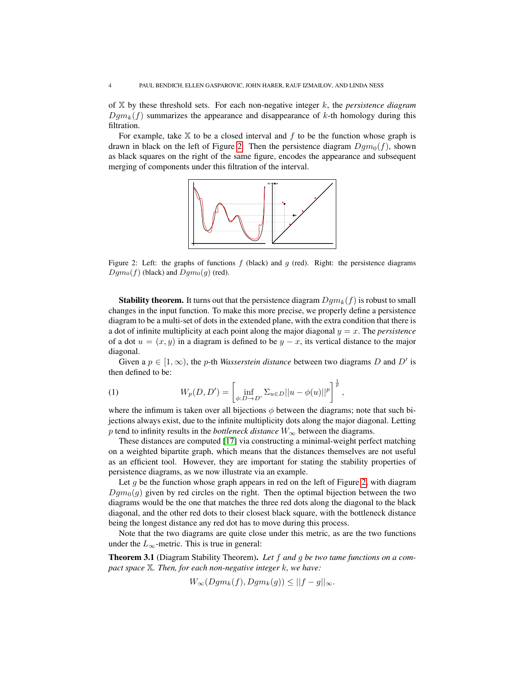of X by these threshold sets. For each non-negative integer k, the *persistence diagram*  $Dgm_k(f)$  summarizes the appearance and disappearance of k-th homology during this filtration.

For example, take  $X$  to be a closed interval and  $f$  to be the function whose graph is drawn in black on the left of Figure [2.](#page-3-0) Then the persistence diagram  $Dgm_0(f)$ , shown as black squares on the right of the same figure, encodes the appearance and subsequent merging of components under this filtration of the interval.



<span id="page-3-0"></span>Figure 2: Left: the graphs of functions  $f$  (black) and  $g$  (red). Right: the persistence diagrams  $Dgm_0(f)$  (black) and  $Dgm_0(g)$  (red).

**Stability theorem.** It turns out that the persistence diagram  $Dgm_k(f)$  is robust to small changes in the input function. To make this more precise, we properly define a persistence diagram to be a multi-set of dots in the extended plane, with the extra condition that there is a dot of infinite multiplicity at each point along the major diagonal  $y = x$ . The *persistence* of a dot  $u = (x, y)$  in a diagram is defined to be  $y - x$ , its vertical distance to the major diagonal.

Given a  $p \in [1, \infty)$ , the *p*-th *Wasserstein distance* between two diagrams D and D' is then defined to be:

(1) 
$$
W_p(D, D') = \left[ \inf_{\phi:D \to D'} \Sigma_{u \in D} ||u - \phi(u)||^p \right]^{\frac{1}{p}},
$$

where the infimum is taken over all bijections  $\phi$  between the diagrams; note that such bijections always exist, due to the infinite multiplicity dots along the major diagonal. Letting p tend to infinity results in the *bottleneck distance*  $W_{\infty}$  between the diagrams.

These distances are computed [\[17\]](#page-13-18) via constructing a minimal-weight perfect matching on a weighted bipartite graph, which means that the distances themselves are not useful as an efficient tool. However, they are important for stating the stability properties of persistence diagrams, as we now illustrate via an example.

Let q be the function whose graph appears in red on the left of Figure [2,](#page-3-0) with diagram  $Dgm_0(g)$  given by red circles on the right. Then the optimal bijection between the two diagrams would be the one that matches the three red dots along the diagonal to the black diagonal, and the other red dots to their closest black square, with the bottleneck distance being the longest distance any red dot has to move during this process.

Note that the two diagrams are quite close under this metric, as are the two functions under the  $L_{\infty}$ -metric. This is true in general:

<span id="page-3-1"></span>Theorem 3.1 (Diagram Stability Theorem). *Let* f *and* g *be two tame functions on a compact space* X*. Then, for each non-negative integer* k*, we have:*

 $W_\infty(Dgm_k(f), Dgm_k(g)) \leq ||f-g||_\infty.$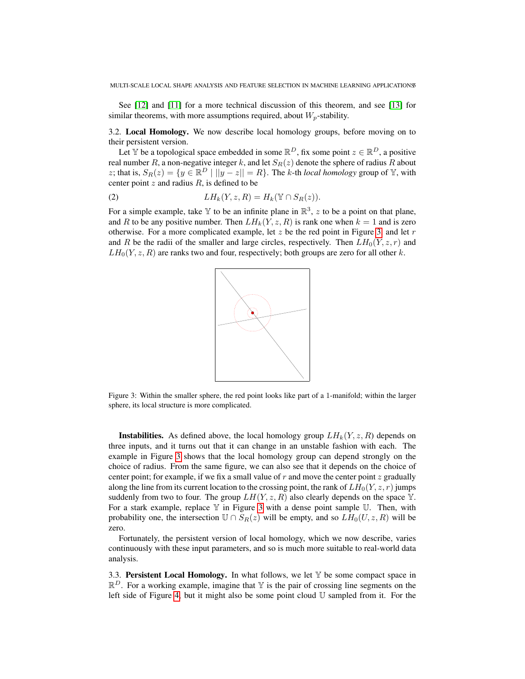See [\[12\]](#page-13-20) and [\[11\]](#page-13-19) for a more technical discussion of this theorem, and see [\[13\]](#page-13-21) for similar theorems, with more assumptions required, about  $W_p$ -stability.

3.2. Local Homology. We now describe local homology groups, before moving on to their persistent version.

Let Y be a topological space embedded in some  $\mathbb{R}^D$ , fix some point  $z \in \mathbb{R}^D$ , a positive real number R, a non-negative integer k, and let  $S_R(z)$  denote the sphere of radius R about z; that is,  $S_R(z) = \{ y \in \mathbb{R}^D \mid ||y - z|| = R \}$ . The k-th *local homology* group of Y, with center point  $z$  and radius  $R$ , is defined to be

(2) 
$$
LH_k(Y, z, R) = H_k(\mathbb{Y} \cap S_R(z)).
$$

For a simple example, take Y to be an infinite plane in  $\mathbb{R}^3$ , z to be a point on that plane, and R to be any positive number. Then  $LH_k(Y, z, R)$  is rank one when  $k = 1$  and is zero otherwise. For a more complicated example, let  $z$  be the red point in Figure [3,](#page-4-0) and let  $r$ and R be the radii of the smaller and large circles, respectively. Then  $LH_0(Y, z, r)$  and  $LH_0(Y, z, R)$  are ranks two and four, respectively; both groups are zero for all other k.



<span id="page-4-0"></span>Figure 3: Within the smaller sphere, the red point looks like part of a 1-manifold; within the larger sphere, its local structure is more complicated.

**Instabilities.** As defined above, the local homology group  $LH_k(Y, z, R)$  depends on three inputs, and it turns out that it can change in an unstable fashion with each. The example in Figure [3](#page-4-0) shows that the local homology group can depend strongly on the choice of radius. From the same figure, we can also see that it depends on the choice of center point; for example, if we fix a small value of  $r$  and move the center point  $z$  gradually along the line from its current location to the crossing point, the rank of  $LH_0(Y, z, r)$  jumps suddenly from two to four. The group  $LH(Y, z, R)$  also clearly depends on the space Y. For a stark example, replace  $\mathbb {Y}$  in Figure [3](#page-4-0) with a dense point sample U. Then, with probability one, the intersection  $\mathbb{U} \cap S_R(z)$  will be empty, and so  $LH_0(U, z, R)$  will be zero.

Fortunately, the persistent version of local homology, which we now describe, varies continuously with these input parameters, and so is much more suitable to real-world data analysis.

3.3. Persistent Local Homology. In what follows, we let  $\mathbb {Y}$  be some compact space in  $\mathbb{R}^D$ . For a working example, imagine that Y is the pair of crossing line segments on the left side of Figure [4,](#page-5-0) but it might also be some point cloud  $\mathbb U$  sampled from it. For the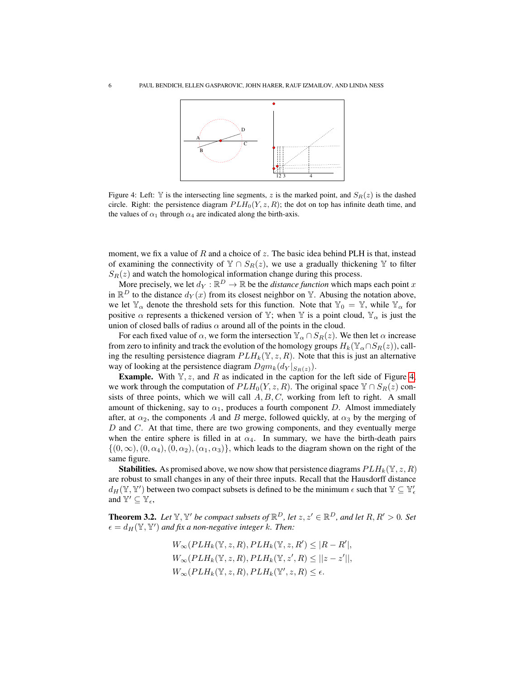

<span id="page-5-0"></span>Figure 4: Left: Y is the intersecting line segments, z is the marked point, and  $S_R(z)$  is the dashed circle. Right: the persistence diagram  $PLH_0(Y, z, R)$ ; the dot on top has infinite death time, and the values of  $\alpha_1$  through  $\alpha_4$  are indicated along the birth-axis.

moment, we fix a value of R and a choice of z. The basic idea behind PLH is that, instead of examining the connectivity of  $\mathbb{Y} \cap S_R(z)$ , we use a gradually thickening  $\mathbb{Y}$  to filter  $S_R(z)$  and watch the homological information change during this process.

More precisely, we let  $d_Y : \mathbb{R}^D \to \mathbb{R}$  be the *distance function* which maps each point x in  $\mathbb{R}^D$  to the distance  $d_Y(x)$  from its closest neighbor on Y. Abusing the notation above, we let  $\mathbb{Y}_{\alpha}$  denote the threshold sets for this function. Note that  $\mathbb{Y}_{0} = \mathbb{Y}$ , while  $\mathbb{Y}_{\alpha}$  for positive  $\alpha$  represents a thickened version of Y; when Y is a point cloud,  $Y_{\alpha}$  is just the union of closed balls of radius  $\alpha$  around all of the points in the cloud.

For each fixed value of  $\alpha$ , we form the intersection  $\mathbb{Y}_{\alpha} \cap S_{R}(z)$ . We then let  $\alpha$  increase from zero to infinity and track the evolution of the homology groups  $H_k(\mathbb{Y}_{\alpha} \cap S_R(z))$ , calling the resulting persistence diagram  $PLH_k(\mathbb{Y}, z, R)$ . Note that this is just an alternative way of looking at the persistence diagram  $Dgm_k(d_Y |_{S_R(z)})$ .

**Example.** With  $Y, z$ , and R as indicated in the caption for the left side of Figure [4,](#page-5-0) we work through the computation of  $PLH_0(Y, z, R)$ . The original space  $\mathbb{Y} \cap S_R(z)$  consists of three points, which we will call  $A, B, C$ , working from left to right. A small amount of thickening, say to  $\alpha_1$ , produces a fourth component D. Almost immediately after, at  $\alpha_2$ , the components A and B merge, followed quickly, at  $\alpha_3$  by the merging of  $D$  and  $C$ . At that time, there are two growing components, and they eventually merge when the entire sphere is filled in at  $\alpha_4$ . In summary, we have the birth-death pairs  $\{(0, \infty), (0, \alpha_4), (0, \alpha_2), (\alpha_1, \alpha_3)\}\,$ , which leads to the diagram shown on the right of the same figure.

**Stabilities.** As promised above, we now show that persistence diagrams  $PLH_k(Y, z, R)$ are robust to small changes in any of their three inputs. Recall that the Hausdorff distance  $d_H(\mathbb{Y}, \mathbb{Y}')$  between two compact subsets is defined to be the minimum  $\epsilon$  such that  $\mathbb{Y} \subseteq \mathbb{Y}'_\epsilon$ and  $\mathbb{Y}' \subseteq \mathbb{Y}_{\epsilon}$ ,

**Theorem 3.2.** Let  $\mathbb{Y}, \mathbb{Y}'$  be compact subsets of  $\mathbb{R}^D$ , let  $z, z' \in \mathbb{R}^D$ , and let  $R, R' > 0$ . Set  $\epsilon = d_H(\mathbb{Y}, \mathbb{Y}')$  and fix a non-negative integer k. Then:

$$
W_{\infty}(PLH_k(\mathbb{Y}, z, R), PLH_k(\mathbb{Y}, z, R') \leq |R - R'|,
$$
  
\n
$$
W_{\infty}(PLH_k(\mathbb{Y}, z, R), PLH_k(\mathbb{Y}, z', R) \leq ||z - z'||,
$$
  
\n
$$
W_{\infty}(PLH_k(\mathbb{Y}, z, R), PLH_k(\mathbb{Y}', z, R) \leq \epsilon.
$$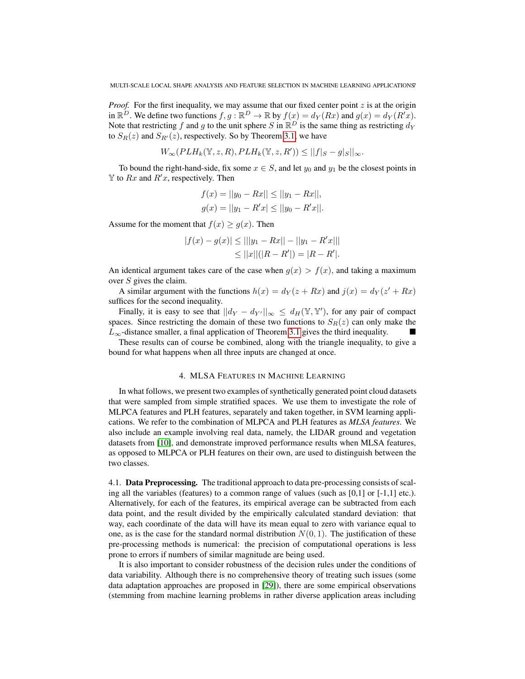*Proof.* For the first inequality, we may assume that our fixed center point  $z$  is at the origin in  $\mathbb{R}^D$ . We define two functions  $f, g: \mathbb{R}^D \to \mathbb{R}$  by  $f(x) = d_Y(Rx)$  and  $g(x) = d_Y(R'x)$ . Note that restricting f and g to the unit sphere S in  $\mathbb{R}^D$  is the same thing as restricting  $d_Y$ to  $S_R(z)$  and  $S_{R'}(z)$ , respectively. So by Theorem [3.1,](#page-3-1) we have

$$
W_{\infty}(PLH_k(\mathbb{Y}, z, R), PLH_k(\mathbb{Y}, z, R')) \leq ||f||_{S} - g||_{\infty}.
$$

To bound the right-hand-side, fix some  $x \in S$ , and let  $y_0$  and  $y_1$  be the closest points in  $\mathbb Y$  to  $Rx$  and  $R'x$ , respectively. Then

$$
f(x) = ||y_0 - Rx|| \le ||y_1 - Rx||,
$$
  

$$
g(x) = ||y_1 - R'x| \le ||y_0 - R'x||.
$$

Assume for the moment that  $f(x) \ge g(x)$ . Then

$$
|f(x) - g(x)| \le |||y_1 - Rx|| - ||y_1 - R'x|||
$$
  
\n
$$
\le ||x||(|R - R'|) = |R - R'|.
$$

An identical argument takes care of the case when  $g(x) > f(x)$ , and taking a maximum over  $S$  gives the claim.

A similar argument with the functions  $h(x) = d_Y(z + Rx)$  and  $j(x) = d_Y(z' + Rx)$ suffices for the second inequality.

Finally, it is easy to see that  $||d_Y - d_{Y'}||_{\infty} \le d_H(\mathbb{Y}, \mathbb{Y}')$ , for any pair of compact spaces. Since restricting the domain of these two functions to  $S_R(z)$  can only make the  $L_{\infty}$ -distance smaller, a final application of Theorem [3.1](#page-3-1) gives the third inequality.

These results can of course be combined, along with the triangle inequality, to give a bound for what happens when all three inputs are changed at once.

#### 4. MLSA FEATURES IN MACHINE LEARNING

<span id="page-6-0"></span>In what follows, we present two examples of synthetically generated point cloud datasets that were sampled from simple stratified spaces. We use them to investigate the role of MLPCA features and PLH features, separately and taken together, in SVM learning applications. We refer to the combination of MLPCA and PLH features as *MLSA features*. We also include an example involving real data, namely, the LIDAR ground and vegetation datasets from [\[10\]](#page-13-22), and demonstrate improved performance results when MLSA features, as opposed to MLPCA or PLH features on their own, are used to distinguish between the two classes.

4.1. Data Preprocessing. The traditional approach to data pre-processing consists of scaling all the variables (features) to a common range of values (such as  $[0,1]$  or  $[-1,1]$  etc.). Alternatively, for each of the features, its empirical average can be subtracted from each data point, and the result divided by the empirically calculated standard deviation: that way, each coordinate of the data will have its mean equal to zero with variance equal to one, as is the case for the standard normal distribution  $N(0, 1)$ . The justification of these pre-processing methods is numerical: the precision of computational operations is less prone to errors if numbers of similar magnitude are being used.

It is also important to consider robustness of the decision rules under the conditions of data variability. Although there is no comprehensive theory of treating such issues (some data adaptation approaches are proposed in [\[29\]](#page-13-23)), there are some empirical observations (stemming from machine learning problems in rather diverse application areas including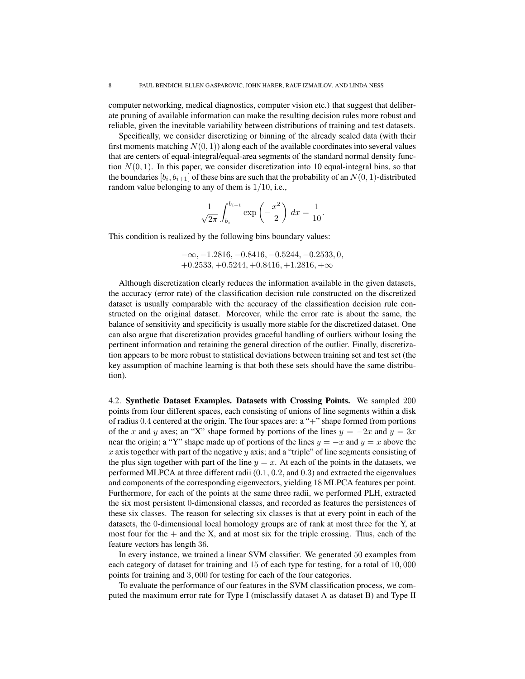computer networking, medical diagnostics, computer vision etc.) that suggest that deliberate pruning of available information can make the resulting decision rules more robust and reliable, given the inevitable variability between distributions of training and test datasets.

Specifically, we consider discretizing or binning of the already scaled data (with their first moments matching  $N(0, 1)$  along each of the available coordinates into several values that are centers of equal-integral/equal-area segments of the standard normal density function  $N(0, 1)$ . In this paper, we consider discretization into 10 equal-integral bins, so that the boundaries  $[b_i, b_{i+1}]$  of these bins are such that the probability of an  $N(0, 1)$ -distributed random value belonging to any of them is 1/10, i.e.,

$$
\frac{1}{\sqrt{2\pi}} \int_{b_i}^{b_{i+1}} \exp\left(-\frac{x^2}{2}\right) dx = \frac{1}{10}.
$$

This condition is realized by the following bins boundary values:

$$
-\infty, -1.2816, -0.8416, -0.5244, -0.2533, 0, +0.2533, +0.5244, +0.8416, +1.2816, +\infty
$$

Although discretization clearly reduces the information available in the given datasets, the accuracy (error rate) of the classification decision rule constructed on the discretized dataset is usually comparable with the accuracy of the classification decision rule constructed on the original dataset. Moreover, while the error rate is about the same, the balance of sensitivity and specificity is usually more stable for the discretized dataset. One can also argue that discretization provides graceful handling of outliers without losing the pertinent information and retaining the general direction of the outlier. Finally, discretization appears to be more robust to statistical deviations between training set and test set (the key assumption of machine learning is that both these sets should have the same distribution).

4.2. Synthetic Dataset Examples. Datasets with Crossing Points. We sampled 200 points from four different spaces, each consisting of unions of line segments within a disk of radius 0.4 centered at the origin. The four spaces are: a "+" shape formed from portions of the x and y axes; an "X" shape formed by portions of the lines  $y = -2x$  and  $y = 3x$ near the origin; a "Y" shape made up of portions of the lines  $y = -x$  and  $y = x$  above the x axis together with part of the negative y axis; and a "triple" of line segments consisting of the plus sign together with part of the line  $y = x$ . At each of the points in the datasets, we performed MLPCA at three different radii (0.1, 0.2, and 0.3) and extracted the eigenvalues and components of the corresponding eigenvectors, yielding 18 MLPCA features per point. Furthermore, for each of the points at the same three radii, we performed PLH, extracted the six most persistent 0-dimensional classes, and recorded as features the persistences of these six classes. The reason for selecting six classes is that at every point in each of the datasets, the 0-dimensional local homology groups are of rank at most three for the Y, at most four for the  $+$  and the X, and at most six for the triple crossing. Thus, each of the feature vectors has length 36.

In every instance, we trained a linear SVM classifier. We generated 50 examples from each category of dataset for training and 15 of each type for testing, for a total of 10, 000 points for training and 3, 000 for testing for each of the four categories.

To evaluate the performance of our features in the SVM classification process, we computed the maximum error rate for Type I (misclassify dataset A as dataset B) and Type II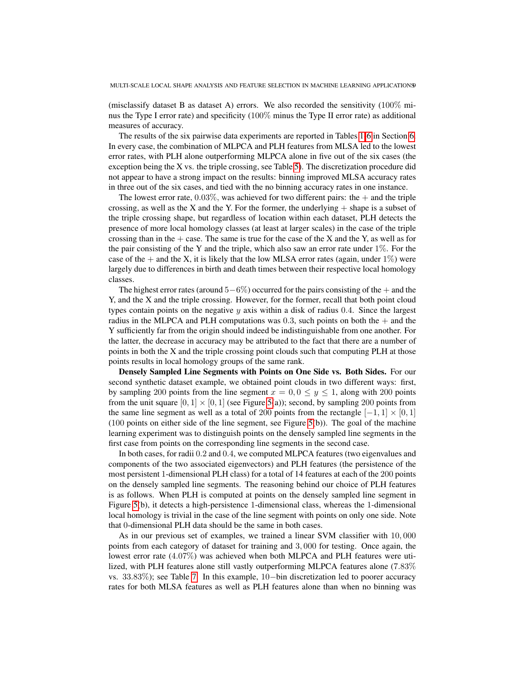(misclassify dataset B as dataset A) errors. We also recorded the sensitivity  $(100\%$  minus the Type I error rate) and specificity (100% minus the Type II error rate) as additional measures of accuracy.

The results of the six pairwise data experiments are reported in Tables [1-](#page-11-0)[6](#page-12-0) in Section [6.](#page-10-0) In every case, the combination of MLPCA and PLH features from MLSA led to the lowest error rates, with PLH alone outperforming MLPCA alone in five out of the six cases (the exception being the X vs. the triple crossing, see Table [5\)](#page-12-1). The discretization procedure did not appear to have a strong impact on the results: binning improved MLSA accuracy rates in three out of the six cases, and tied with the no binning accuracy rates in one instance.

The lowest error rate,  $0.03\%$ , was achieved for two different pairs: the  $+$  and the triple crossing, as well as the X and the Y. For the former, the underlying  $+$  shape is a subset of the triple crossing shape, but regardless of location within each dataset, PLH detects the presence of more local homology classes (at least at larger scales) in the case of the triple crossing than in the  $+$  case. The same is true for the case of the X and the Y, as well as for the pair consisting of the Y and the triple, which also saw an error rate under  $1\%$ . For the case of the  $+$  and the X, it is likely that the low MLSA error rates (again, under 1%) were largely due to differences in birth and death times between their respective local homology classes.

The highest error rates (around  $5-6\%$ ) occurred for the pairs consisting of the  $+$  and the Y, and the X and the triple crossing. However, for the former, recall that both point cloud types contain points on the negative  $y$  axis within a disk of radius 0.4. Since the largest radius in the MLPCA and PLH computations was  $0.3$ , such points on both the  $+$  and the Y sufficiently far from the origin should indeed be indistinguishable from one another. For the latter, the decrease in accuracy may be attributed to the fact that there are a number of points in both the X and the triple crossing point clouds such that computing PLH at those points results in local homology groups of the same rank.

Densely Sampled Line Segments with Points on One Side vs. Both Sides. For our second synthetic dataset example, we obtained point clouds in two different ways: first, by sampling 200 points from the line segment  $x = 0, 0 \le y \le 1$ , along with 200 points from the unit square  $[0, 1] \times [0, 1]$  (see Figure [5\(](#page-9-0)a)); second, by sampling 200 points from the same line segment as well as a total of 200 points from the rectangle  $[-1, 1] \times [0, 1]$ (100 points on either side of the line segment, see Figure [5\(](#page-9-0)b)). The goal of the machine learning experiment was to distinguish points on the densely sampled line segments in the first case from points on the corresponding line segments in the second case.

In both cases, for radii 0.2 and 0.4, we computed MLPCA features (two eigenvalues and components of the two associated eigenvectors) and PLH features (the persistence of the most persistent 1-dimensional PLH class) for a total of 14 features at each of the 200 points on the densely sampled line segments. The reasoning behind our choice of PLH features is as follows. When PLH is computed at points on the densely sampled line segment in Figure [5\(](#page-9-0)b), it detects a high-persistence 1-dimensional class, whereas the 1-dimensional local homology is trivial in the case of the line segment with points on only one side. Note that 0-dimensional PLH data should be the same in both cases.

As in our previous set of examples, we trained a linear SVM classifier with 10, 000 points from each category of dataset for training and 3, 000 for testing. Once again, the lowest error rate (4.07%) was achieved when both MLPCA and PLH features were utilized, with PLH features alone still vastly outperforming MLPCA features alone (7.83% vs. 33.83%); see Table [7.](#page-12-2) In this example, 10−bin discretization led to poorer accuracy rates for both MLSA features as well as PLH features alone than when no binning was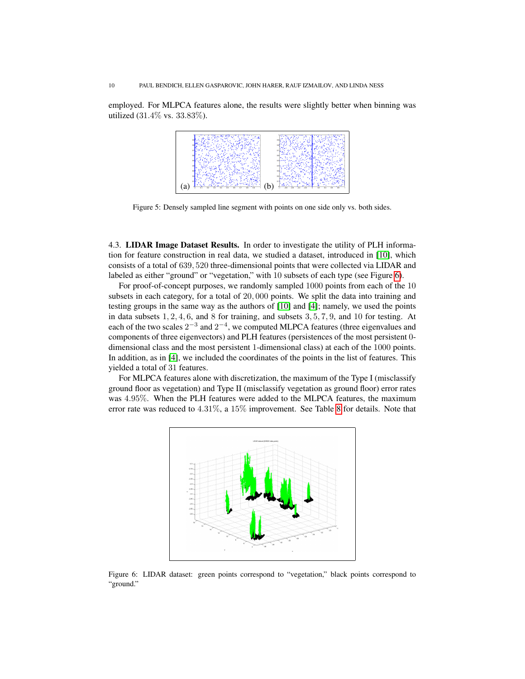employed. For MLPCA features alone, the results were slightly better when binning was utilized (31.4% vs. 33.83%).



<span id="page-9-0"></span>Figure 5: Densely sampled line segment with points on one side only vs. both sides.

4.3. LIDAR Image Dataset Results. In order to investigate the utility of PLH information for feature construction in real data, we studied a dataset, introduced in [\[10\]](#page-13-22), which consists of a total of 639, 520 three-dimensional points that were collected via LIDAR and labeled as either "ground" or "vegetation," with 10 subsets of each type (see Figure [6\)](#page-9-1).

For proof-of-concept purposes, we randomly sampled 1000 points from each of the 10 subsets in each category, for a total of 20, 000 points. We split the data into training and testing groups in the same way as the authors of [\[10\]](#page-13-22) and [\[4\]](#page-13-16); namely, we used the points in data subsets  $1, 2, 4, 6$ , and  $8$  for training, and subsets  $3, 5, 7, 9$ , and  $10$  for testing. At each of the two scales  $2^{-3}$  and  $2^{-4}$ , we computed MLPCA features (three eigenvalues and components of three eigenvectors) and PLH features (persistences of the most persistent 0 dimensional class and the most persistent 1-dimensional class) at each of the 1000 points. In addition, as in [\[4\]](#page-13-16), we included the coordinates of the points in the list of features. This yielded a total of 31 features.

For MLPCA features alone with discretization, the maximum of the Type I (misclassify ground floor as vegetation) and Type II (misclassify vegetation as ground floor) error rates was 4.95%. When the PLH features were added to the MLPCA features, the maximum error rate was reduced to 4.31%, a 15% improvement. See Table [8](#page-12-3) for details. Note that



<span id="page-9-1"></span>Figure 6: LIDAR dataset: green points correspond to "vegetation," black points correspond to "ground."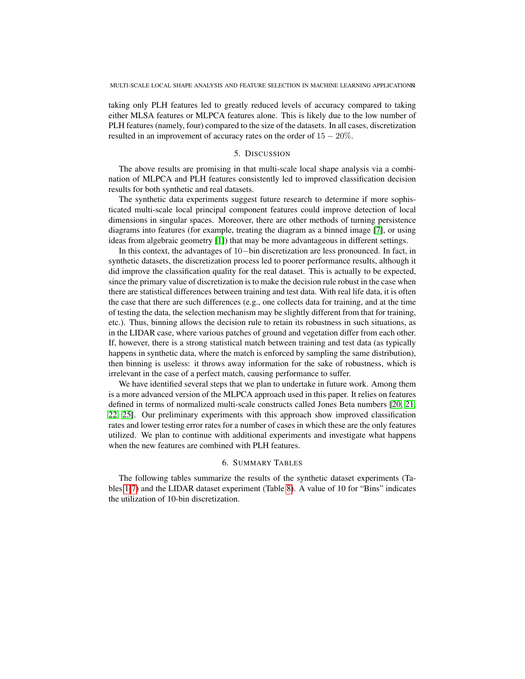taking only PLH features led to greatly reduced levels of accuracy compared to taking either MLSA features or MLPCA features alone. This is likely due to the low number of PLH features (namely, four) compared to the size of the datasets. In all cases, discretization resulted in an improvement of accuracy rates on the order of  $15 - 20\%$ .

#### 5. DISCUSSION

<span id="page-10-1"></span>The above results are promising in that multi-scale local shape analysis via a combination of MLPCA and PLH features consistently led to improved classification decision results for both synthetic and real datasets.

The synthetic data experiments suggest future research to determine if more sophisticated multi-scale local principal component features could improve detection of local dimensions in singular spaces. Moreover, there are other methods of turning persistence diagrams into features (for example, treating the diagram as a binned image [\[7\]](#page-13-24), or using ideas from algebraic geometry [\[1\]](#page-13-25)) that may be more advantageous in different settings.

In this context, the advantages of 10−bin discretization are less pronounced. In fact, in synthetic datasets, the discretization process led to poorer performance results, although it did improve the classification quality for the real dataset. This is actually to be expected, since the primary value of discretization is to make the decision rule robust in the case when there are statistical differences between training and test data. With real life data, it is often the case that there are such differences (e.g., one collects data for training, and at the time of testing the data, the selection mechanism may be slightly different from that for training, etc.). Thus, binning allows the decision rule to retain its robustness in such situations, as in the LIDAR case, where various patches of ground and vegetation differ from each other. If, however, there is a strong statistical match between training and test data (as typically happens in synthetic data, where the match is enforced by sampling the same distribution), then binning is useless: it throws away information for the sake of robustness, which is irrelevant in the case of a perfect match, causing performance to suffer.

We have identified several steps that we plan to undertake in future work. Among them is a more advanced version of the MLPCA approach used in this paper. It relies on features defined in terms of normalized multi-scale constructs called Jones Beta numbers [\[20,](#page-13-26) [21,](#page-13-27) [22,](#page-13-15) [25\]](#page-13-28). Our preliminary experiments with this approach show improved classification rates and lower testing error rates for a number of cases in which these are the only features utilized. We plan to continue with additional experiments and investigate what happens when the new features are combined with PLH features.

### 6. SUMMARY TABLES

<span id="page-10-0"></span>The following tables summarize the results of the synthetic dataset experiments (Tables [1-](#page-11-0)[7\)](#page-12-2) and the LIDAR dataset experiment (Table [8\)](#page-12-3). A value of 10 for "Bins" indicates the utilization of 10-bin discretization.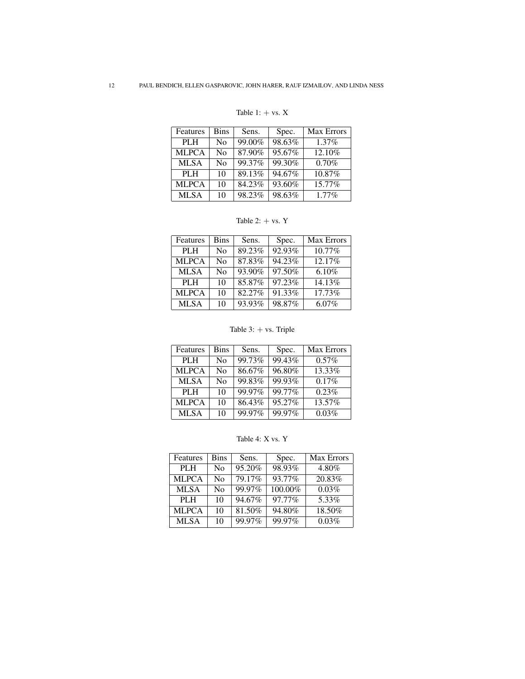### <span id="page-11-0"></span>Table 1:  $+$  vs.  $X$

| Features     | <b>Bins</b>    | Sens.  | Spec.  | <b>Max Errors</b> |
|--------------|----------------|--------|--------|-------------------|
| <b>PLH</b>   | N <sub>0</sub> | 99.00% | 98.63% | 1.37%             |
| <b>MLPCA</b> | N <sub>0</sub> | 87.90% | 95.67% | 12.10%            |
| <b>MLSA</b>  | N <sub>0</sub> | 99.37% | 99.30% | 0.70%             |
| <b>PLH</b>   | 10             | 89.13% | 94.67% | 10.87%            |
| <b>MLPCA</b> | 10             | 84.23% | 93.60% | 15.77%            |
| <b>MLSA</b>  | 10             | 98.23% | 98.63% | $1.77\%$          |

Table 2:  $+$  vs.  $Y$ 

| Features     | <b>Bins</b>    | Sens.  | Spec.  | <b>Max Errors</b> |
|--------------|----------------|--------|--------|-------------------|
| <b>PLH</b>   | N <sub>0</sub> | 89.23% | 92.93% | 10.77%            |
| <b>MLPCA</b> | N <sub>0</sub> | 87.83% | 94.23% | 12.17%            |
| <b>MLSA</b>  | No             | 93.90% | 97.50% | 6.10%             |
| PLH          | 10             | 85.87% | 97.23% | 14.13%            |
| <b>MLPCA</b> | 10             | 82.27% | 91.33% | 17.73%            |
| <b>MLSA</b>  | 10             | 93.93% | 98.87% | $6.07\%$          |

### Table 3: + vs. Triple

| Features     | <b>Bins</b>    | Sens.  | Spec.  | <b>Max Errors</b> |
|--------------|----------------|--------|--------|-------------------|
| <b>PLH</b>   | N <sub>0</sub> | 99.73% | 99.43% | 0.57%             |
| <b>MLPCA</b> | N <sub>0</sub> | 86.67% | 96.80% | 13.33%            |
| <b>MLSA</b>  | N <sub>0</sub> | 99.83% | 99.93% | 0.17%             |
| PLH          | 10             | 99.97% | 99.77% | 0.23%             |
| <b>MLPCA</b> | 10             | 86.43% | 95.27% | 13.57%            |
| <b>MLSA</b>  | 10             | 99.97% | 99.97% | 0.03%             |

Table 4: X vs. Y

| Features     | Bins | Sens.  | Spec.   | <b>Max Errors</b> |
|--------------|------|--------|---------|-------------------|
| <b>PLH</b>   | No   | 95.20% | 98.93%  | 4.80%             |
| <b>MLPCA</b> | No   | 79.17% | 93.77%  | 20.83%            |
| <b>MLSA</b>  | No   | 99.97% | 100.00% | 0.03%             |
| PLH          | 10   | 94.67% | 97.77%  | 5.33%             |
| <b>MLPCA</b> | 10   | 81.50% | 94.80%  | 18.50%            |
| <b>MLSA</b>  | 10   | 99.97% | 99.97%  | 0.03%             |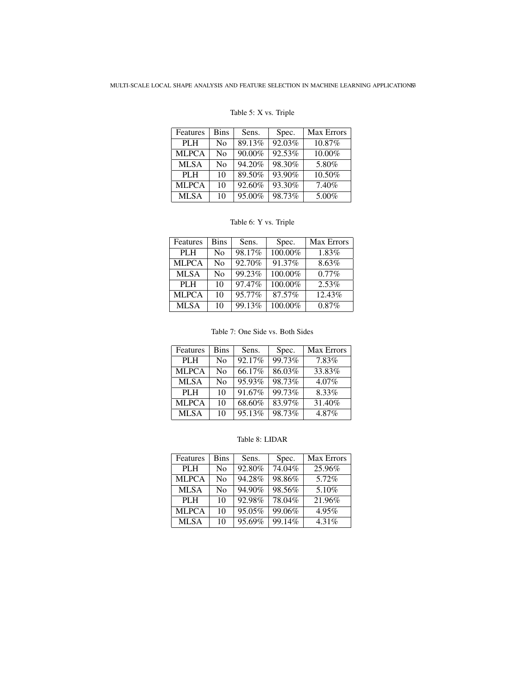## <span id="page-12-1"></span>Table 5: X vs. Triple

| <b>Features</b> | <b>Bins</b>    | Sens.     | Spec.  | <b>Max Errors</b> |
|-----------------|----------------|-----------|--------|-------------------|
| PLH             | N <sub>0</sub> | 89.13%    | 92.03% | 10.87%            |
| <b>MLPCA</b>    | N <sub>0</sub> | 90.00%    | 92.53% | 10.00%            |
| <b>MLSA</b>     | No             | 94.20%    | 98.30% | 5.80%             |
| PLH             | 10             | 89.50%    | 93.90% | 10.50%            |
| <b>MLPCA</b>    | 10             | $92.60\%$ | 93.30% | 7.40%             |
| <b>MLSA</b>     | 10             | 95.00%    | 98.73% | 5.00%             |

# <span id="page-12-0"></span>Table 6: Y vs. Triple

| Features     | <b>Bins</b> | Sens.  | Spec.   | Max Errors |
|--------------|-------------|--------|---------|------------|
| <b>PLH</b>   | No          | 98.17% | 100.00% | 1.83%      |
| <b>MLPCA</b> | No          | 92.70% | 91.37%  | 8.63%      |
| <b>MLSA</b>  | No          | 99.23% | 100.00% | $0.77\%$   |
| PLH          | 10          | 97.47% | 100.00% | 2.53%      |
| <b>MLPCA</b> | 10          | 95.77% | 87.57%  | 12.43%     |
| <b>MLSA</b>  | 10          | 99.13% | 100.00% | 0.87%      |

### <span id="page-12-2"></span>Table 7: One Side vs. Both Sides

| Features     | <b>Bins</b>    | Sens.  | Spec.  | <b>Max Errors</b> |
|--------------|----------------|--------|--------|-------------------|
| <b>PLH</b>   | N <sub>0</sub> | 92.17% | 99.73% | 7.83%             |
| <b>MLPCA</b> | N <sub>0</sub> | 66.17% | 86.03% | 33.83%            |
| <b>MLSA</b>  | N <sub>0</sub> | 95.93% | 98.73% | $4.07\%$          |
| PLH          | 10             | 91.67% | 99.73% | 8.33%             |
| <b>MLPCA</b> | 10             | 68.60% | 83.97% | 31.40%            |
| <b>MLSA</b>  | 10             | 95.13% | 98.73% | 4.87%             |

### <span id="page-12-3"></span>Table 8: LIDAR

| Features     | <b>Bins</b>    | Sens.     | Spec.  | <b>Max Errors</b> |
|--------------|----------------|-----------|--------|-------------------|
| <b>PLH</b>   | N <sub>0</sub> | 92.80%    | 74.04% | 25.96%            |
| <b>MLPCA</b> | N <sub>0</sub> | 94.28%    | 98.86% | 5.72%             |
| <b>MLSA</b>  | N <sub>0</sub> | 94.90%    | 98.56% | 5.10%             |
| PLH          | 10             | 92.98%    | 78.04% | 21.96%            |
| <b>MLPCA</b> | 10             | $95.05\%$ | 99.06% | 4.95%             |
| <b>MLSA</b>  | 10             | $95.69\%$ | 99.14% | 4.31%             |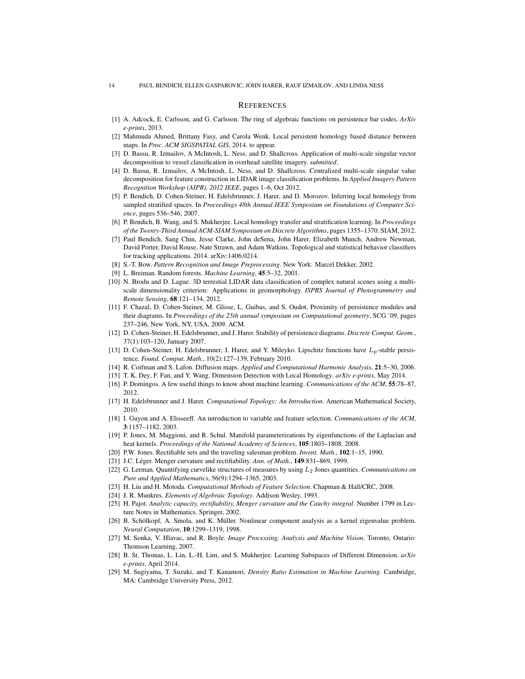#### **REFERENCES**

- <span id="page-13-25"></span>[1] A. Adcock, E. Carlsson, and G. Carlsson. The ring of algebraic functions on persistence bar codes. *ArXiv e-prints*, 2013.
- <span id="page-13-14"></span>[2] Mahmuda Ahmed, Brittany Fasy, and Carola Wenk. Local persistent homology based distance between maps. In *Proc. ACM SIGSPATIAL GIS*, 2014. to appear.
- <span id="page-13-17"></span>[3] D. Bassu, R. Izmailov, A McIntosh, L. Ness, and D. Shallcross. Application of multi-scale singular vector decomposition to vessel classification in overhead satellite imagery. *submitted*.
- <span id="page-13-16"></span>[4] D. Bassu, R. Izmailov, A McIntosh, L. Ness, and D. Shallcross. Centralized multi-scale singular value decomposition for feature construction in LIDAR image classification problems. In *Applied Imagery Pattern Recognition Workshop (AIPR), 2012 IEEE*, pages 1–6, Oct 2012.
- <span id="page-13-10"></span>[5] P. Bendich, D. Cohen-Steiner, H. Edelsbrunner, J. Harer, and D. Morozov. Inferring local homology from sampled stratified spaces. In *Proceedings 48th Annual IEEE Symposium on Foundations of Computer Science*, pages 536–546, 2007.
- <span id="page-13-12"></span>[6] P. Bendich, B. Wang, and S. Mukherjee. Local homology transfer and stratification learning. In *Proceedings of the Twenty-Third Annual ACM-SIAM Symposium on Discrete Algorithms*, pages 1355–1370. SIAM, 2012.
- <span id="page-13-24"></span>[7] Paul Bendich, Sang Chin, Jesse Clarke, John deSena, John Harer, Elizabeth Munch, Andrew Newman, David Porter, David Rouse, Nate Strawn, and Adam Watkins. Topological and statistical behavior classifiers for tracking applications. 2014. arXiv:1406.0214.
- <span id="page-13-7"></span>[8] S.-T. Bow. *Pattern Recognition and Image Preprocessing*. New York: Marcel Dekker, 2002.
- <span id="page-13-1"></span>[9] L. Breiman. Random forests. *Machine Learning*, 45:5–32, 2001.
- <span id="page-13-22"></span>[10] N. Brodu and D. Lague. 3D terrestial LIDAR data classification of complex natural scenes using a multiscale dimensionality criterion: Applications in geomorphology. *ISPRS Journal of Photogrammetry and Remote Sensing*, 68:121–134, 2012.
- <span id="page-13-19"></span>[11] F. Chazal, D. Cohen-Steiner, M. Glisse, L. Guibas, and S. Oudot. Proximity of persistence modules and their diagrams. In *Proceedings of the 25th annual symposium on Computational geometry*, SCG '09, pages 237–246, New York, NY, USA, 2009. ACM.
- <span id="page-13-20"></span>[12] D. Cohen-Steiner, H. Edelsbrunner, and J. Harer. Stability of persistence diagrams. *Discrete Comput. Geom.*, 37(1):103–120, January 2007.
- <span id="page-13-21"></span>[13] D. Cohen-Steiner, H. Edelsbrunner, J. Harer, and Y. Mileyko. Lipschitz functions have  $L_p$ -stable persistence. *Found. Comput. Math.*, 10(2):127–139, February 2010.
- <span id="page-13-6"></span>[14] R. Coifman and S. Lafon. Diffusion maps. *Applied and Computational Harmonic Analysis*, 21:5–30, 2006.
- <span id="page-13-11"></span>[15] T. K. Dey, F. Fan, and Y. Wang. Dimension Detection with Local Homology. *arXiv e-prints*, May 2014.
- <span id="page-13-2"></span>[16] P. Domingos. A few useful things to know about machine learning. *Communications of the ACM*, 55:78–87, 2012.
- <span id="page-13-18"></span>[17] H. Edelsbrunner and J. Harer. *Computational Topology: An Introduction*. American Mathematical Society, 2010.
- <span id="page-13-3"></span>[18] I. Guyon and A. Elisseeff. An introduction to variable and feature selection. *Communications of the ACM*, 3:1157–1182, 2003.
- <span id="page-13-5"></span>[19] P. Jones, M. Maggioni, and R. Schul. Manifold parameterizations by eigenfunctions of the Laplacian and heat kernels. *Proceedings of the National Academy of Sciences*, 105:1803–1808, 2008.
- <span id="page-13-26"></span>[20] P.W. Jones. Rectifiable sets and the traveling salesman problem. *Invent. Math.*, 102:1–15, 1990.
- <span id="page-13-27"></span>[21] J.C. Léger. Menger curvature and rectifiability. Ann. of Math., 149:831-869, 1999.
- <span id="page-13-15"></span>[22] G. Lerman. Quantifying curvelike structures of measures by using L<sup>2</sup> Jones quantities. *Communications on Pure and Applied Mathematics*, 56(9):1294–1365, 2003.
- <span id="page-13-0"></span>[23] H. Liu and H. Motoda. *Computational Methods of Feature Selection*. Chapman & Hall/CRC, 2008.
- <span id="page-13-9"></span>[24] J. R. Munkres. *Elements of Algebraic Topology*. Addison Wesley, 1993.
- <span id="page-13-28"></span>[25] H. Pajot. *Analytic capacity, rectifiability, Menger curvature and the Cauchy integral*. Number 1799 in Lecture Notes in Mathematics. Springer, 2002.
- <span id="page-13-4"></span>[26] B. Schölkopf, A. Smola, and K. Müller. Nonlinear component analysis as a kernel eigenvalue problem. *Neural Computation*, 10:1299–1319, 1998.
- <span id="page-13-8"></span>[27] M. Sonka, V. Hlavac, and R. Boyle. *Image Processing, Analysis and Machine Vision*. Toronto, Ontario: Thomson Learning, 2007.
- <span id="page-13-13"></span>[28] B. St. Thomas, L. Lin, L.-H. Lim, and S. Mukherjee. Learning Subspaces of Different Dimension. *arXiv e-prints*, April 2014.
- <span id="page-13-23"></span>[29] M. Sugiyama, T. Suzuki, and T. Kanamori. *Density Ratio Estimation in Machine Learning*. Cambridge, MA: Cambridge University Press, 2012.